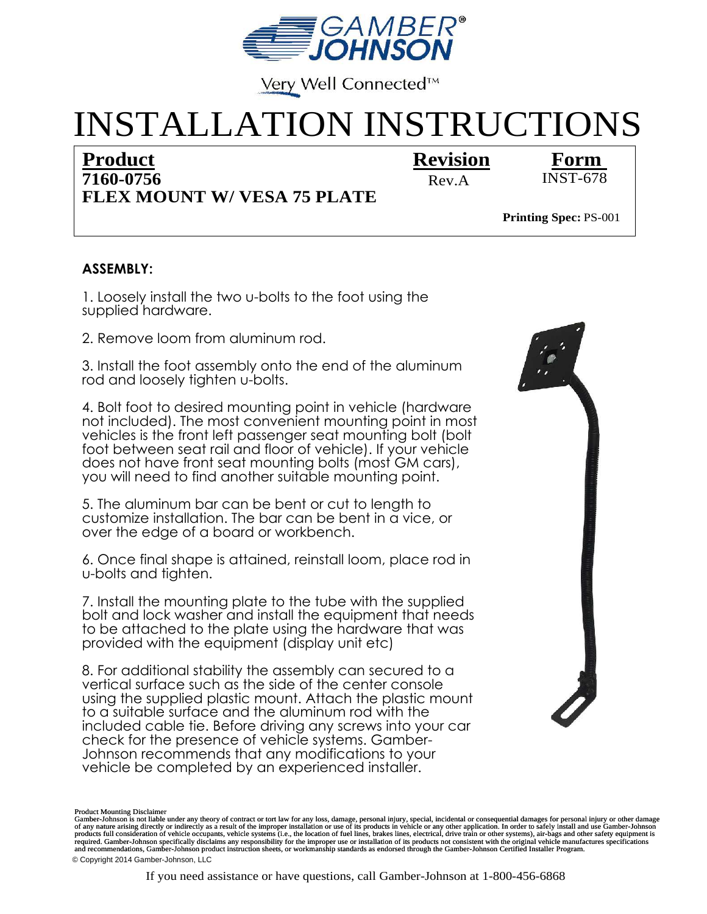

Very Well Connected™

## INSTALLATION INSTRUCTIONS

## **Revision Product Form 7160-0756**

Rev.A INST-678

**FLEX MOUNT W/ VESA 75 PLATE**

**Printing Spec: PS-001** 

## **ASSEMBLY:**

1. Loosely install the two u-bolts to the foot using the supplied hardware.

2. Remove loom from aluminum rod.

3. Install the foot assembly onto the end of the aluminum rod and loosely tighten u-bolts.

4. Bolt foot to desired mounting point in vehicle (hardware not included). The most convenient mounting point in most vehicles is the front left passenger seat mounting bolt (bolt foot between seat rail and floor of vehicle). If your vehicle does not have front seat mounting bolts (most GM cars), you will need to find another suitable mounting point.

5. The aluminum bar can be bent or cut to length to customize installation. The bar can be bent in a vice, or over the edge of a board or workbench.

6. Once final shape is attained, reinstall loom, place rod in u-bolts and tighten.

7. Install the mounting plate to the tube with the supplied bolt and lock washer and install the equipment that needs to be attached to the plate using the hardware that was provided with the equipment (display unit etc)

8. For additional stability the assembly can secured to a vertical surface such as the side of the center console using the supplied plastic mount. Attach the plastic mount to a suitable surface and the aluminum rod with the included cable tie. Before driving any screws into your car check for the presence of vehicle systems. Gamber-Johnson recommends that any modifications to your vehicle be completed by an experienced installer.



required. Gamber-Johnson specifically disclaims any responsibility for the improper use or installation of its products not consistent with the original vehicle manufactures specifications Product Mounting Disclaimer<br>Gamber-Johnson is not liable under any theory of contract or tort law for any loss, damage, personal injury, special, incidental or consequential damages for personal injury or other damage<br>of a and recommendations, Gamber-Johnson product instruction sheets, or workmanship standards as endorsed through the Gamber-Johnson Certified Installer Program. © Copyright 2014 Gamber-Johnson, LLC